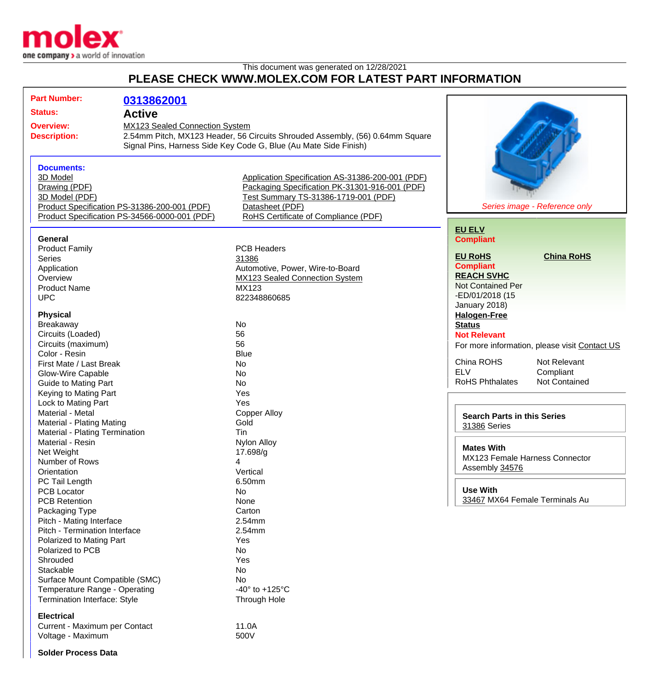

## This document was generated on 12/28/2021 **PLEASE CHECK WWW.MOLEX.COM FOR LATEST PART INFORMATION**

| <b>Part Number:</b><br><b>Status:</b><br><b>Overview:</b><br><b>Description:</b>                                                                                                                                                                                                                      | 0313862001<br><b>Active</b><br><b>MX123 Sealed Connection System</b>                          | 2.54mm Pitch, MX123 Header, 56 Circuits Shrouded Assembly, (56) 0.64mm Square<br>Signal Pins, Harness Side Key Code G, Blue (Au Mate Side Finish)                                                     |                                                                                                                                                                                                                         |
|-------------------------------------------------------------------------------------------------------------------------------------------------------------------------------------------------------------------------------------------------------------------------------------------------------|-----------------------------------------------------------------------------------------------|-------------------------------------------------------------------------------------------------------------------------------------------------------------------------------------------------------|-------------------------------------------------------------------------------------------------------------------------------------------------------------------------------------------------------------------------|
| <b>Documents:</b><br>3D Model<br>Drawing (PDF)<br>3D Model (PDF)                                                                                                                                                                                                                                      | Product Specification PS-31386-200-001 (PDF)<br>Product Specification PS-34566-0000-001 (PDF) | Application Specification AS-31386-200-001 (PDF)<br>Packaging Specification PK-31301-916-001 (PDF)<br>Test Summary TS-31386-1719-001 (PDF)<br>Datasheet (PDF)<br>RoHS Certificate of Compliance (PDF) | Series image - Reference only                                                                                                                                                                                           |
| <b>General</b><br><b>Product Family</b><br><b>Series</b><br>Application<br>Overview<br><b>Product Name</b><br><b>UPC</b>                                                                                                                                                                              |                                                                                               | <b>PCB Headers</b><br>31386<br>Automotive, Power, Wire-to-Board<br>MX123 Sealed Connection System<br><b>MX123</b><br>822348860685                                                                     | <b>EU ELV</b><br><b>Compliant</b><br><b>EU RoHS</b><br><b>China RoHS</b><br><b>Compliant</b><br><b>REACH SVHC</b><br><b>Not Contained Per</b><br>-ED/01/2018 (15<br>January 2018)                                       |
| <b>Physical</b><br>Breakaway<br>Circuits (Loaded)<br>Circuits (maximum)<br>Color - Resin<br>First Mate / Last Break<br>Glow-Wire Capable<br><b>Guide to Mating Part</b><br>Keying to Mating Part<br>Lock to Mating Part                                                                               |                                                                                               | No<br>56<br>56<br><b>Blue</b><br>No<br>No<br>No<br>Yes<br>Yes                                                                                                                                         | <b>Halogen-Free</b><br><b>Status</b><br><b>Not Relevant</b><br>For more information, please visit Contact US<br>China ROHS<br>Not Relevant<br><b>ELV</b><br>Compliant<br><b>RoHS Phthalates</b><br><b>Not Contained</b> |
| Material - Metal<br><b>Material - Plating Mating</b><br>Material - Plating Termination<br>Material - Resin<br>Net Weight<br>Number of Rows<br>Orientation<br>PC Tail Length                                                                                                                           |                                                                                               | <b>Copper Alloy</b><br>Gold<br>Tin<br><b>Nylon Alloy</b><br>17.698/g<br>4<br>Vertical<br>6.50mm                                                                                                       | <b>Search Parts in this Series</b><br>31386 Series<br><b>Mates With</b><br>MX123 Female Harness Connector<br>Assembly 34576                                                                                             |
| <b>PCB Locator</b><br><b>PCB Retention</b><br>Packaging Type<br>Pitch - Mating Interface<br>Pitch - Termination Interface<br>Polarized to Mating Part<br>Polarized to PCB<br>Shrouded<br>Stackable<br>Surface Mount Compatible (SMC)<br>Temperature Range - Operating<br>Termination Interface: Style |                                                                                               | No<br>None<br>Carton<br>2.54mm<br>2.54mm<br>Yes<br>No<br>Yes<br>No<br>No<br>-40 $^{\circ}$ to +125 $^{\circ}$ C<br><b>Through Hole</b>                                                                | <b>Use With</b><br>33467 MX64 Female Terminals Au                                                                                                                                                                       |
| <b>Electrical</b><br>Current - Maximum per Contact<br>Voltage - Maximum                                                                                                                                                                                                                               |                                                                                               | 11.0A<br>500V                                                                                                                                                                                         |                                                                                                                                                                                                                         |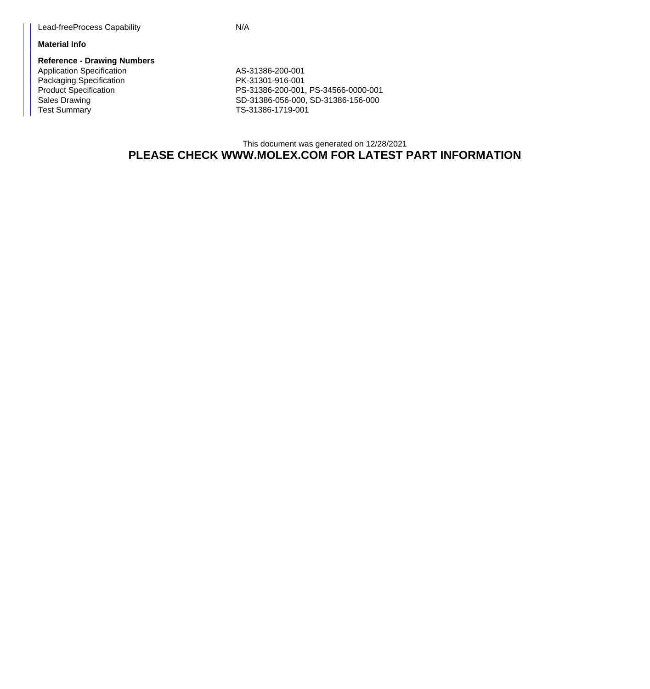## **Material Info**

**Reference - Drawing Numbers** Application Specification AS-31386-200-001 Packaging Specification **PK-31301-916-001** 

Product Specification <br>
PS-31386-200-001, PS-34566-0000-001<br>
SD-31386-056-000, SD-31386-156-000 Sales Drawing Sales Drawing SD-31386-056-000, SD-31386-156-000<br>
TS-31386-1719-001 TS-31386-1719-001

## This document was generated on 12/28/2021 **PLEASE CHECK WWW.MOLEX.COM FOR LATEST PART INFORMATION**